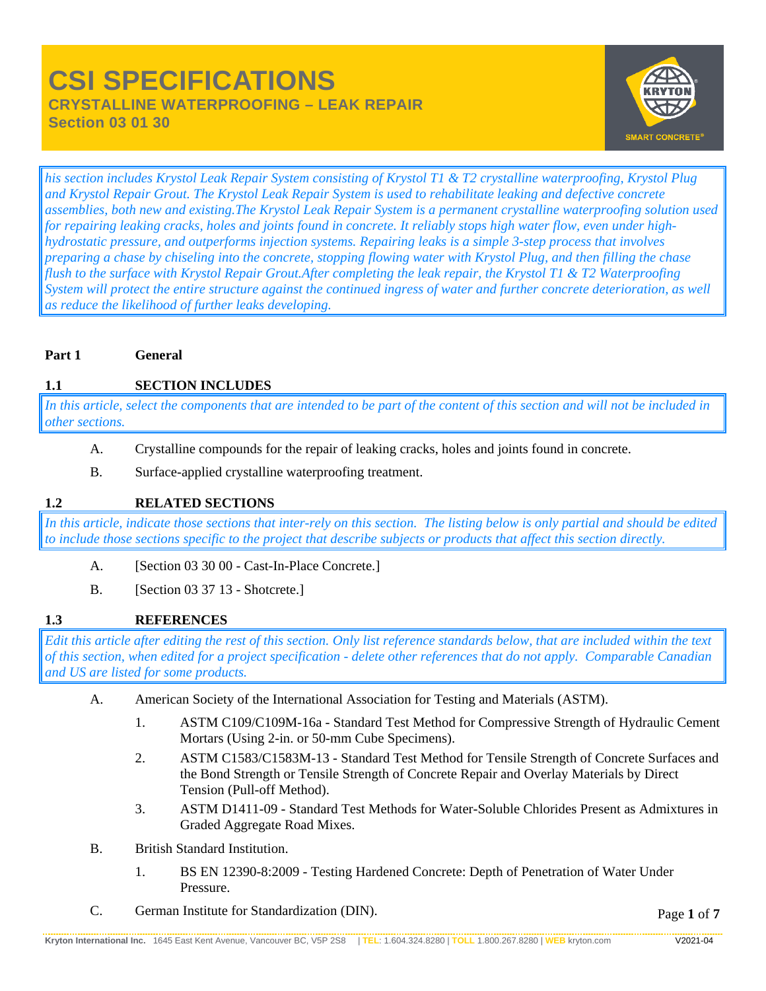# **CSI SPECIFICATIONS CRYSTALLINE WATERPROOFING – LEAK REPAIR Section 03 01 30**



*his section includes Krystol Leak Repair System consisting of Krystol T1 & T2 crystalline waterproofing, Krystol Plug and Krystol Repair Grout. The Krystol Leak Repair System is used to rehabilitate leaking and defective concrete assemblies, both new and existing.The Krystol Leak Repair System is a permanent crystalline waterproofing solution used for repairing leaking cracks, holes and joints found in concrete. It reliably stops high water flow, even under highhydrostatic pressure, and outperforms injection systems. Repairing leaks is a simple 3-step process that involves preparing a chase by chiseling into the concrete, stopping flowing water with Krystol Plug, and then filling the chase flush to the surface with Krystol Repair Grout.After completing the leak repair, the Krystol T1 & T2 Waterproofing System will protect the entire structure against the continued ingress of water and further concrete deterioration, as well as reduce the likelihood of further leaks developing.*

## **Part 1 General**

# **1.1 SECTION INCLUDES**

*In this article, select the components that are intended to be part of the content of this section and will not be included in other sections.*

- A. Crystalline compounds for the repair of leaking cracks, holes and joints found in concrete.
- B. Surface-applied crystalline waterproofing treatment.

# **1.2 RELATED SECTIONS**

*In this article, indicate those sections that inter-rely on this section. The listing below is only partial and should be edited to include those sections specific to the project that describe subjects or products that affect this section directly.*

- A. [Section 03 30 00 Cast-In-Place Concrete.]
- B. [Section 03 37 13 Shotcrete.]

# **1.3 REFERENCES**

*Edit this article after editing the rest of this section. Only list reference standards below, that are included within the text of this section, when edited for a project specification - delete other references that do not apply. Comparable Canadian and US are listed for some products.*

- A. American Society of the International Association for Testing and Materials (ASTM).
	- 1. ASTM C109/C109M-16a Standard Test Method for Compressive Strength of Hydraulic Cement Mortars (Using 2-in. or 50-mm Cube Specimens).
	- 2. ASTM C1583/C1583M-13 Standard Test Method for Tensile Strength of Concrete Surfaces and the Bond Strength or Tensile Strength of Concrete Repair and Overlay Materials by Direct Tension (Pull-off Method).
	- 3. ASTM D1411-09 Standard Test Methods for Water-Soluble Chlorides Present as Admixtures in Graded Aggregate Road Mixes.
- B. British Standard Institution.
	- 1. BS EN 12390-8:2009 Testing Hardened Concrete: Depth of Penetration of Water Under Pressure.
- C. German Institute for Standardization (DIN).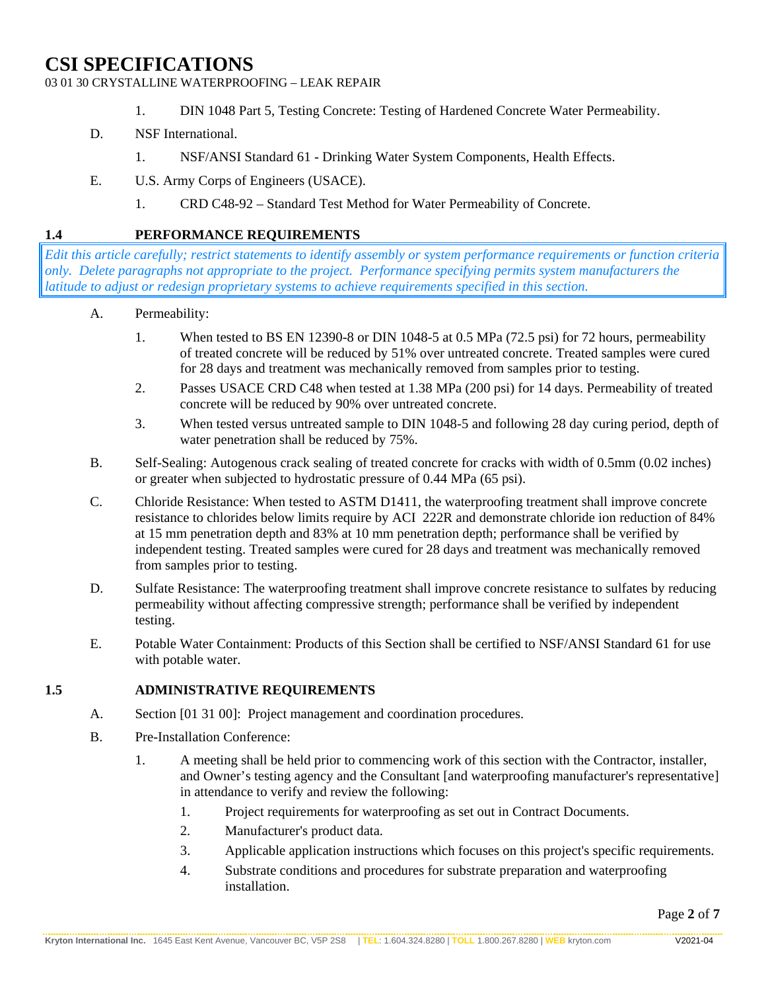03 01 30 CRYSTALLINE WATERPROOFING – LEAK REPAIR

- 1. DIN 1048 Part 5, Testing Concrete: Testing of Hardened Concrete Water Permeability.
- D. NSF International.
	- 1. NSF/ANSI Standard 61 Drinking Water System Components, Health Effects.
- E. U.S. Army Corps of Engineers (USACE).
	- 1. CRD C48-92 Standard Test Method for Water Permeability of Concrete.

### **1.4 PERFORMANCE REQUIREMENTS**

*Edit this article carefully; restrict statements to identify assembly or system performance requirements or function criteria only. Delete paragraphs not appropriate to the project. Performance specifying permits system manufacturers the latitude to adjust or redesign proprietary systems to achieve requirements specified in this section.*

- A. Permeability:
	- 1. When tested to BS EN 12390-8 or DIN 1048-5 at 0.5 MPa (72.5 psi) for 72 hours, permeability of treated concrete will be reduced by 51% over untreated concrete. Treated samples were cured for 28 days and treatment was mechanically removed from samples prior to testing.
	- 2. Passes USACE CRD C48 when tested at 1.38 MPa (200 psi) for 14 days. Permeability of treated concrete will be reduced by 90% over untreated concrete.
	- 3. When tested versus untreated sample to DIN 1048-5 and following 28 day curing period, depth of water penetration shall be reduced by 75%.
- B. Self-Sealing: Autogenous crack sealing of treated concrete for cracks with width of 0.5mm (0.02 inches) or greater when subjected to hydrostatic pressure of 0.44 MPa (65 psi).
- C. Chloride Resistance: When tested to ASTM D1411, the waterproofing treatment shall improve concrete resistance to chlorides below limits require by ACI 222R and demonstrate chloride ion reduction of 84% at 15 mm penetration depth and 83% at 10 mm penetration depth; performance shall be verified by independent testing. Treated samples were cured for 28 days and treatment was mechanically removed from samples prior to testing.
- D. Sulfate Resistance: The waterproofing treatment shall improve concrete resistance to sulfates by reducing permeability without affecting compressive strength; performance shall be verified by independent testing.
- E. Potable Water Containment: Products of this Section shall be certified to NSF/ANSI Standard 61 for use with potable water.

#### **1.5 ADMINISTRATIVE REQUIREMENTS**

- A. Section [01 31 00]: Project management and coordination procedures.
- B. Pre-Installation Conference:
	- 1. A meeting shall be held prior to commencing work of this section with the Contractor, installer, and Owner's testing agency and the Consultant [and waterproofing manufacturer's representative] in attendance to verify and review the following:
		- 1. Project requirements for waterproofing as set out in Contract Documents.
		- 2. Manufacturer's product data.
		- 3. Applicable application instructions which focuses on this project's specific requirements.
		- 4. Substrate conditions and procedures for substrate preparation and waterproofing installation.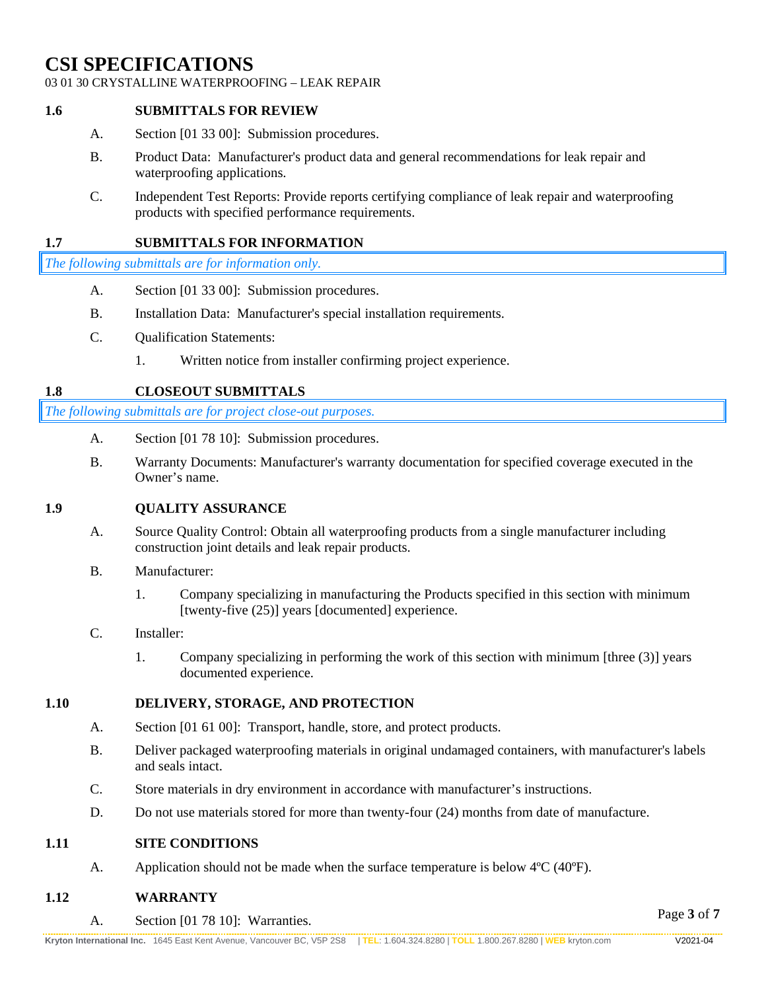#### 03 01 30 CRYSTALLINE WATERPROOFING – LEAK REPAIR

#### **1.6 SUBMITTALS FOR REVIEW**

- A. Section [01 33 00]: Submission procedures.
- B. Product Data: Manufacturer's product data and general recommendations for leak repair and waterproofing applications.
- C. Independent Test Reports: Provide reports certifying compliance of leak repair and waterproofing products with specified performance requirements.

## **1.7 SUBMITTALS FOR INFORMATION**

*The following submittals are for information only.*

- A. Section [01 33 00]: Submission procedures.
- B. Installation Data: Manufacturer's special installation requirements.
- C. Qualification Statements:
	- 1. Written notice from installer confirming project experience.

#### **1.8 CLOSEOUT SUBMITTALS**

*The following submittals are for project close-out purposes.*

- A. Section [01 78 10]: Submission procedures.
- B. Warranty Documents: Manufacturer's warranty documentation for specified coverage executed in the Owner's name.

#### **1.9 QUALITY ASSURANCE**

- A. Source Quality Control: Obtain all waterproofing products from a single manufacturer including construction joint details and leak repair products.
- B. Manufacturer:
	- 1. Company specializing in manufacturing the Products specified in this section with minimum [twenty-five (25)] years [documented] experience.

#### C. Installer:

1. Company specializing in performing the work of this section with minimum [three (3)] years documented experience.

#### **1.10 DELIVERY, STORAGE, AND PROTECTION**

- A. Section [01 61 00]: Transport, handle, store, and protect products.
- B. Deliver packaged waterproofing materials in original undamaged containers, with manufacturer's labels and seals intact.
- C. Store materials in dry environment in accordance with manufacturer's instructions.
- D. Do not use materials stored for more than twenty-four (24) months from date of manufacture.

#### **1.11 SITE CONDITIONS**

A. Application should not be made when the surface temperature is below 4°C (40°F).

#### **1.12 WARRANTY**

A. Section [01 78 10]: Warranties.

Page **3** of **7**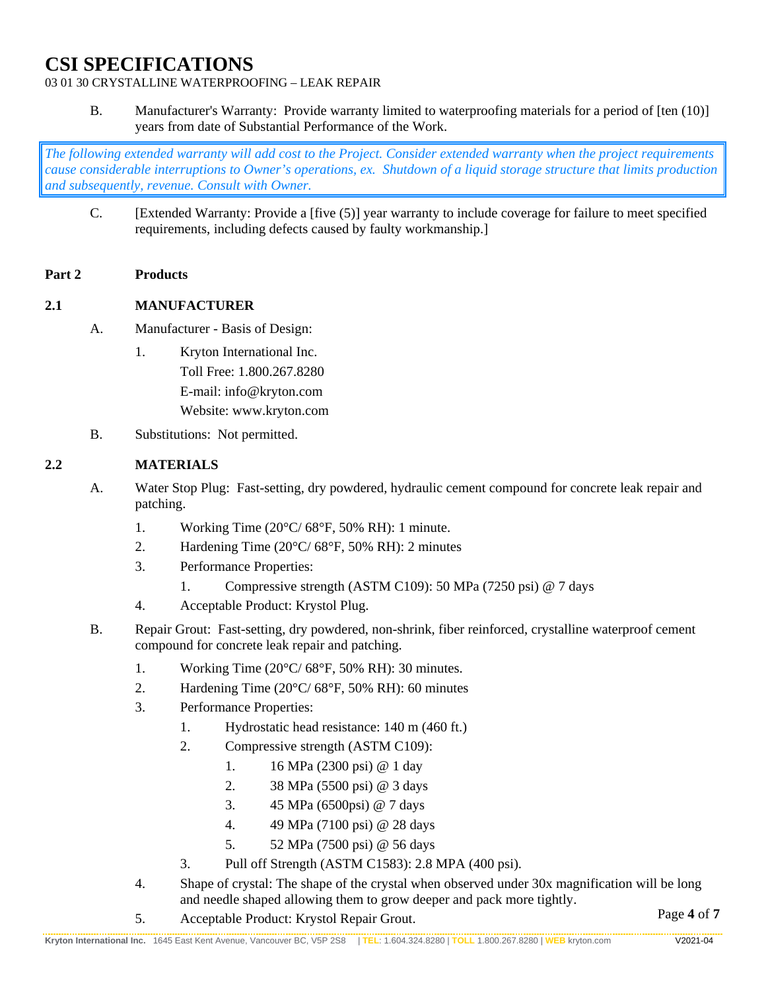## 03 01 30 CRYSTALLINE WATERPROOFING – LEAK REPAIR

B. Manufacturer's Warranty: Provide warranty limited to waterproofing materials for a period of [ten (10)] years from date of Substantial Performance of the Work.

*The following extended warranty will add cost to the Project. Consider extended warranty when the project requirements cause considerable interruptions to Owner's operations, ex. Shutdown of a liquid storage structure that limits production and subsequently, revenue. Consult with Owner.*

C. [Extended Warranty: Provide a [five (5)] year warranty to include coverage for failure to meet specified requirements, including defects caused by faulty workmanship.]

#### **Part 2 Products**

#### **2.1 MANUFACTURER**

- A. Manufacturer Basis of Design:
	- 1. Kryton International Inc. Toll Free: 1.800.267.8280 E-mail: info@kryton.com Website: www.kryton.com
- B. Substitutions: Not permitted.

## **2.2 MATERIALS**

- A. Water Stop Plug: Fast-setting, dry powdered, hydraulic cement compound for concrete leak repair and patching.
	- 1. Working Time (20°C/ 68°F, 50% RH): 1 minute.
	- 2. Hardening Time  $(20^{\circ}C/68^{\circ}F, 50\% \text{ RH})$ : 2 minutes
	- 3. Performance Properties:
		- 1. Compressive strength (ASTM C109): 50 MPa (7250 psi) @ 7 days
	- 4. Acceptable Product: Krystol Plug.
- B. Repair Grout: Fast-setting, dry powdered, non-shrink, fiber reinforced, crystalline waterproof cement compound for concrete leak repair and patching.
	- 1. Working Time (20°C/ 68°F, 50% RH): 30 minutes.
	- 2. Hardening Time  $(20^{\circ}C/68^{\circ}F, 50\% RH)$ : 60 minutes
	- 3. Performance Properties:
		- 1. Hydrostatic head resistance: 140 m (460 ft.)
		- 2. Compressive strength (ASTM C109):
			- 1. 16 MPa (2300 psi) @ 1 day
			- 2. 38 MPa (5500 psi) @ 3 days
			- 3. 45 MPa (6500psi) @ 7 days
			- 4. 49 MPa (7100 psi) @ 28 days
			- 5. 52 MPa (7500 psi) @ 56 days
		- 3. Pull off Strength (ASTM C1583): 2.8 MPA (400 psi).
	- 4. Shape of crystal: The shape of the crystal when observed under 30x magnification will be long and needle shaped allowing them to grow deeper and pack more tightly.
	- 5. Acceptable Product: Krystol Repair Grout.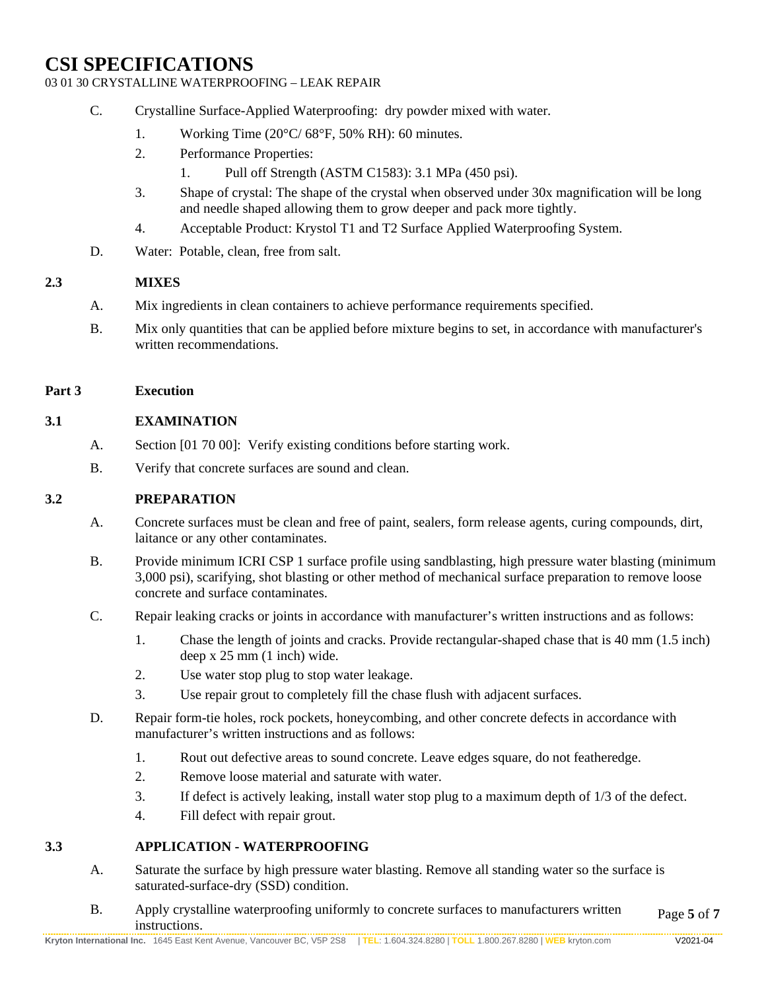## 03 01 30 CRYSTALLINE WATERPROOFING – LEAK REPAIR

- C. Crystalline Surface-Applied Waterproofing: dry powder mixed with water.
	- 1. Working Time (20°C/ 68°F, 50% RH): 60 minutes.
	- 2. Performance Properties:
		- 1. Pull off Strength (ASTM C1583): 3.1 MPa (450 psi).
	- 3. Shape of crystal: The shape of the crystal when observed under 30x magnification will be long and needle shaped allowing them to grow deeper and pack more tightly.
	- 4. Acceptable Product: Krystol T1 and T2 Surface Applied Waterproofing System.
- D. Water: Potable, clean, free from salt.

#### **2.3 MIXES**

- A. Mix ingredients in clean containers to achieve performance requirements specified.
- B. Mix only quantities that can be applied before mixture begins to set, in accordance with manufacturer's written recommendations.

#### **Part 3 Execution**

#### **3.1 EXAMINATION**

- A. Section [01 70 00]: Verify existing conditions before starting work.
- B. Verify that concrete surfaces are sound and clean.

#### **3.2 PREPARATION**

- A. Concrete surfaces must be clean and free of paint, sealers, form release agents, curing compounds, dirt, laitance or any other contaminates.
- B. Provide minimum ICRI CSP 1 surface profile using sandblasting, high pressure water blasting (minimum 3,000 psi), scarifying, shot blasting or other method of mechanical surface preparation to remove loose concrete and surface contaminates.
- C. Repair leaking cracks or joints in accordance with manufacturer's written instructions and as follows:
	- 1. Chase the length of joints and cracks. Provide rectangular-shaped chase that is 40 mm (1.5 inch) deep x 25 mm (1 inch) wide.
	- 2. Use water stop plug to stop water leakage.
	- 3. Use repair grout to completely fill the chase flush with adjacent surfaces.
- D. Repair form-tie holes, rock pockets, honeycombing, and other concrete defects in accordance with manufacturer's written instructions and as follows:
	- 1. Rout out defective areas to sound concrete. Leave edges square, do not featheredge.
	- 2. Remove loose material and saturate with water.
	- 3. If defect is actively leaking, install water stop plug to a maximum depth of 1/3 of the defect.
	- 4. Fill defect with repair grout.

## **3.3 APPLICATION - WATERPROOFING**

- A. Saturate the surface by high pressure water blasting. Remove all standing water so the surface is saturated-surface-dry (SSD) condition.
- Page **5** of **7** B. Apply crystalline waterproofing uniformly to concrete surfaces to manufacturers written instructions.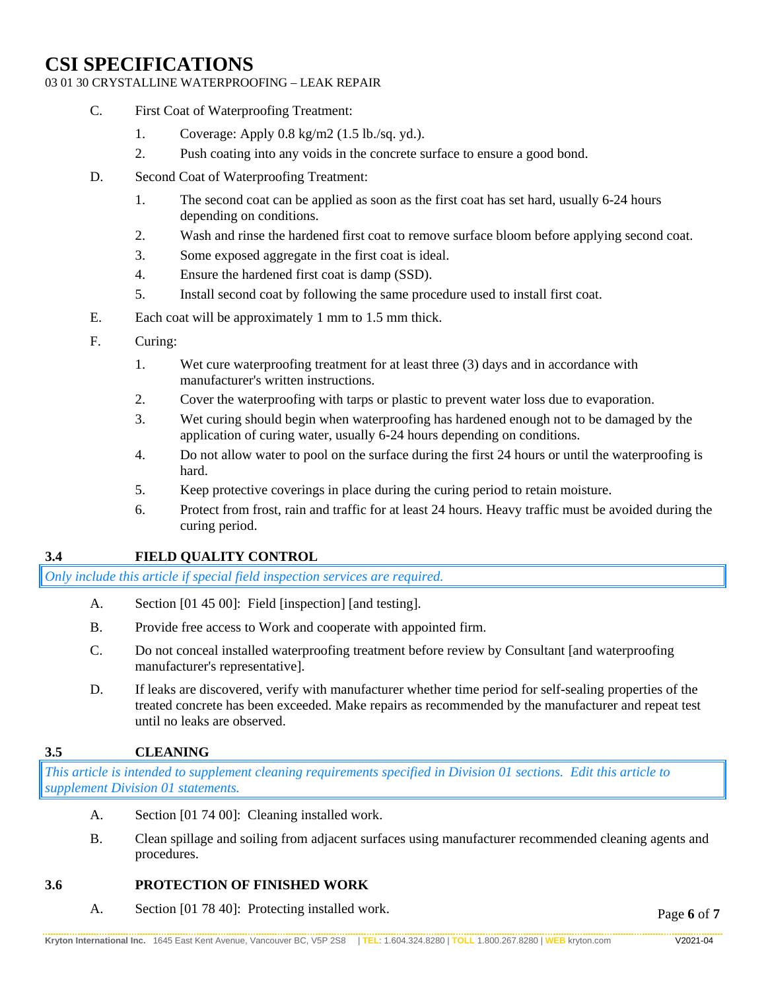#### 03 01 30 CRYSTALLINE WATERPROOFING – LEAK REPAIR

- C. First Coat of Waterproofing Treatment:
	- 1. Coverage: Apply 0.8 kg/m2 (1.5 lb./sq. yd.).
	- 2. Push coating into any voids in the concrete surface to ensure a good bond.
- D. Second Coat of Waterproofing Treatment:
	- 1. The second coat can be applied as soon as the first coat has set hard, usually 6-24 hours depending on conditions.
	- 2. Wash and rinse the hardened first coat to remove surface bloom before applying second coat.
	- 3. Some exposed aggregate in the first coat is ideal.
	- 4. Ensure the hardened first coat is damp (SSD).
	- 5. Install second coat by following the same procedure used to install first coat.
- E. Each coat will be approximately 1 mm to 1.5 mm thick.
- F. Curing:
	- 1. Wet cure waterproofing treatment for at least three (3) days and in accordance with manufacturer's written instructions.
	- 2. Cover the waterproofing with tarps or plastic to prevent water loss due to evaporation.
	- 3. Wet curing should begin when waterproofing has hardened enough not to be damaged by the application of curing water, usually 6-24 hours depending on conditions.
	- 4. Do not allow water to pool on the surface during the first 24 hours or until the waterproofing is hard.
	- 5. Keep protective coverings in place during the curing period to retain moisture.
	- 6. Protect from frost, rain and traffic for at least 24 hours. Heavy traffic must be avoided during the curing period.

## **3.4 FIELD QUALITY CONTROL**

*Only include this article if special field inspection services are required.*

- A. Section [01 45 00]: Field [inspection] [and testing].
- B. Provide free access to Work and cooperate with appointed firm.
- C. Do not conceal installed waterproofing treatment before review by Consultant [and waterproofing manufacturer's representative].
- D. If leaks are discovered, verify with manufacturer whether time period for self-sealing properties of the treated concrete has been exceeded. Make repairs as recommended by the manufacturer and repeat test until no leaks are observed.

## **3.5 CLEANING**

*This article is intended to supplement cleaning requirements specified in Division 01 sections. Edit this article to supplement Division 01 statements.*

- A. Section [01 74 00]: Cleaning installed work.
- B. Clean spillage and soiling from adjacent surfaces using manufacturer recommended cleaning agents and procedures.

## **3.6 PROTECTION OF FINISHED WORK**

A. Section [01 78 40]: Protecting installed work.